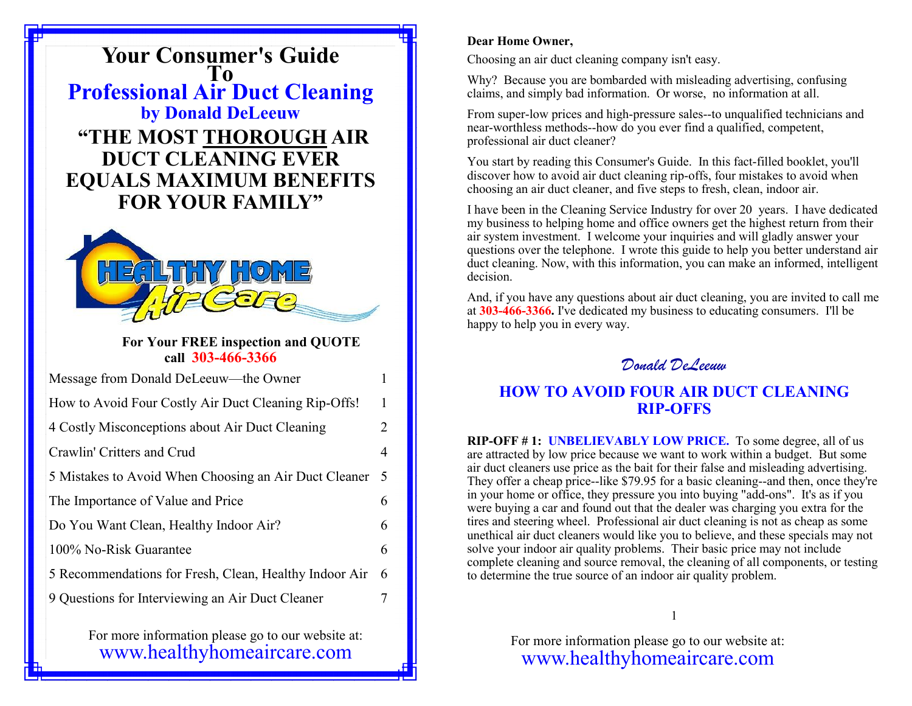**Your Consumer's Guide To Professional Air Duct Cleaning by Donald DeLeeuw "THE MOST THOROUGH AIR DUCT CLEANING EVER EQUALS MAXIMUM BENEFITS FOR YOUR FAMILY"**



### **For Your FREE inspection and QUOTE call 303-466-3366**

| Message from Donald DeLeeuw—the Owner                  | 1              |
|--------------------------------------------------------|----------------|
| How to Avoid Four Costly Air Duct Cleaning Rip-Offs!   | 1              |
| 4 Costly Misconceptions about Air Duct Cleaning        | $\overline{2}$ |
| Crawlin' Critters and Crud                             | $\overline{4}$ |
| 5 Mistakes to Avoid When Choosing an Air Duct Cleaner  | - 5            |
| The Importance of Value and Price                      | 6              |
| Do You Want Clean, Healthy Indoor Air?                 | 6              |
| 100% No-Risk Guarantee                                 | 6              |
| 5 Recommendations for Fresh, Clean, Healthy Indoor Air | - 6            |
| 9 Questions for Interviewing an Air Duct Cleaner       | 7              |

For more information please go to our website at: www.healthyhomeaircare.com

#### **Dear Home Owner,**

Choosing an air duct cleaning company isn't easy.

Why? Because you are bombarded with misleading advertising, confusing claims, and simply bad information. Or worse, no information at all.

From super-low prices and high-pressure sales--to unqualified technicians and near-worthless methods--how do you ever find a qualified, competent, professional air duct cleaner?

You start by reading this Consumer's Guide. In this fact-filled booklet, you'll discover how to avoid air duct cleaning rip-offs, four mistakes to avoid when choosing an air duct cleaner, and five steps to fresh, clean, indoor air.

I have been in the Cleaning Service Industry for over 20 years. I have dedicated my business to helping home and office owners get the highest return from their air system investment. I welcome your inquiries and will gladly answer your questions over the telephone. I wrote this guide to help you better understand air duct cleaning. Now, with this information, you can make an informed, intelligent decision.

And, if you have any questions about air duct cleaning, you are invited to call me at **303-466-3366.** I've dedicated my business to educating consumers. I'll be happy to help you in every way.

*Donald DeLeeuw*

# **HOW TO AVOID FOUR AIR DUCT CLEANING RIP-OFFS**

**RIP-OFF # 1: UNBELIEVABLY LOW PRICE.** To some degree, all of us are attracted by low price because we want to work within a budget. But some air duct cleaners use price as the bait for their false and misleading advertising. They offer a cheap price--like \$79.95 for a basic cleaning--and then, once they're in your home or office, they pressure you into buying "add-ons". It's as if you were buying a car and found out that the dealer was charging you extra for the tires and steering wheel. Professional air duct cleaning is not as cheap as some unethical air duct cleaners would like you to believe, and these specials may not solve your indoor air quality problems. Their basic price may not include complete cleaning and source removal, the cleaning of all components, or testing to determine the true source of an indoor air quality problem.

1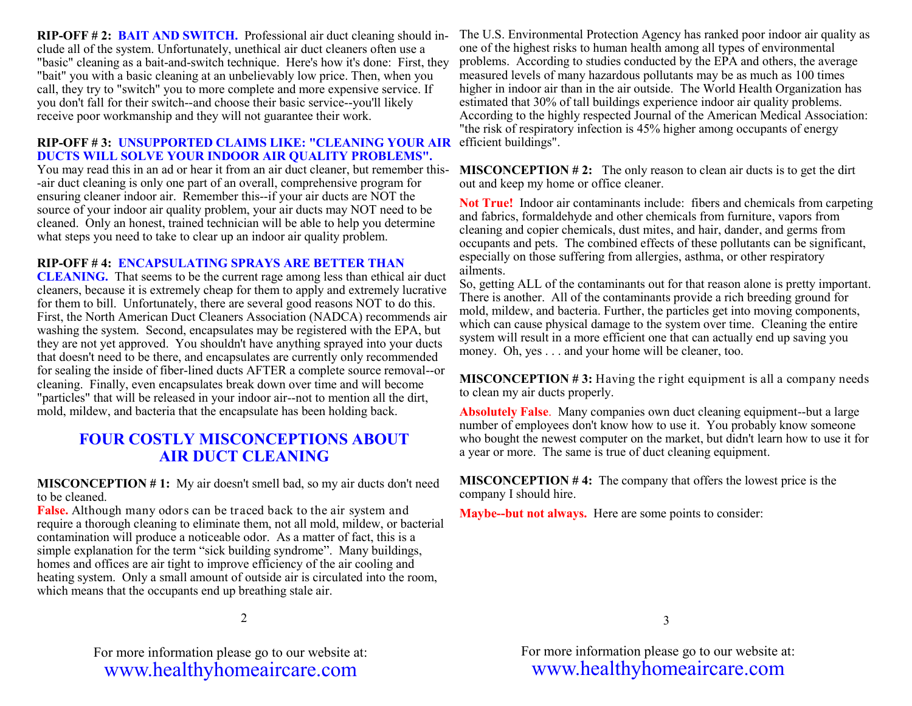**RIP-OFF # 2: BAIT AND SWITCH.** Professional air duct cleaning should include all of the system. Unfortunately, unethical air duct cleaners often use a "basic" cleaning as a bait-and-switch technique. Here's how it's done: First, they "bait" you with a basic cleaning at an unbelievably low price. Then, when you call, they try to "switch" you to more complete and more expensive service. If you don't fall for their switch--and choose their basic service--you'll likely receive poor workmanship and they will not guarantee their work.

#### RIP-OFF #3: UNSUPPORTED CLAIMS LIKE: "CLEANING YOUR AIR efficient buildings". **DUCTS WILL SOLVE YOUR INDOOR AIR QUALITY PROBLEMS".**

You may read this in an ad or hear it from an air duct cleaner, but remember this- -air duct cleaning is only one part of an overall, comprehensive program for ensuring cleaner indoor air. Remember this--if your air ducts are NOT the source of your indoor air quality problem, your air ducts may NOT need to be cleaned. Only an honest, trained technician will be able to help you determine what steps you need to take to clear up an indoor air quality problem.

### **RIP-OFF # 4: ENCAPSULATING SPRAYS ARE BETTER THAN**

**CLEANING.** That seems to be the current rage among less than ethical air duct cleaners, because it is extremely cheap for them to apply and extremely lucrative for them to bill. Unfortunately, there are several good reasons NOT to do this. First, the North American Duct Cleaners Association (NADCA) recommends air washing the system. Second, encapsulates may be registered with the EPA, but they are not yet approved. You shouldn't have anything sprayed into your ducts that doesn't need to be there, and encapsulates are currently only recommended for sealing the inside of fiber-lined ducts AFTER a complete source removal--or cleaning. Finally, even encapsulates break down over time and will become "particles" that will be released in your indoor air--not to mention all the dirt, mold, mildew, and bacteria that the encapsulate has been holding back.

# **FOUR COSTLY MISCONCEPTIONS ABOUT AIR DUCT CLEANING**

**MISCONCEPTION # 1:** My air doesn't smell bad, so my air ducts don't need to be cleaned.

**False.** Although many odors can be traced back to the air system and require a thorough cleaning to eliminate them, not all mold, mildew, or bacterial contamination will produce a noticeable odor. As a matter of fact, this is a simple explanation for the term "sick building syndrome". Many buildings, homes and offices are air tight to improve efficiency of the air cooling and heating system. Only a small amount of outside air is circulated into the room, which means that the occupants end up breathing stale air.

The U.S. Environmental Protection Agency has ranked poor indoor air quality as one of the highest risks to human health among all types of environmental problems. According to studies conducted by the EPA and others, the average measured levels of many hazardous pollutants may be as much as 100 times higher in indoor air than in the air outside. The World Health Organization has estimated that 30% of tall buildings experience indoor air quality problems. According to the highly respected Journal of the American Medical Association: "the risk of respiratory infection is 45% higher among occupants of energy

**MISCONCEPTION # 2:** The only reason to clean air ducts is to get the dirt out and keep my home or office cleaner.

**Not True!** Indoor air contaminants include: fibers and chemicals from carpeting and fabrics, formaldehyde and other chemicals from furniture, vapors from cleaning and copier chemicals, dust mites, and hair, dander, and germs from occupants and pets. The combined effects of these pollutants can be significant, especially on those suffering from allergies, asthma, or other respiratory ailments.

So, getting ALL of the contaminants out for that reason alone is pretty important. There is another. All of the contaminants provide a rich breeding ground for mold, mildew, and bacteria. Further, the particles get into moving components, which can cause physical damage to the system over time. Cleaning the entire system will result in a more efficient one that can actually end up saving you money. Oh, yes . . . and your home will be cleaner, too.

**MISCONCEPTION #3:** Having the right equipment is all a company needs to clean my air ducts properly.

**Absolutely False**. Many companies own duct cleaning equipment--but a large number of employees don't know how to use it. You probably know someone who bought the newest computer on the market, but didn't learn how to use it for a year or more. The same is true of duct cleaning equipment.

**MISCONCEPTION # 4:** The company that offers the lowest price is the company I should hire.

**Maybe--but not always.** Here are some points to consider:

2

 $\mathbb{F}_{\mathbb{F}_{q}}$  more information please go to our website at: For more information please go to our website at:<br>For more information please going at a come www.healthyhomeaircare.com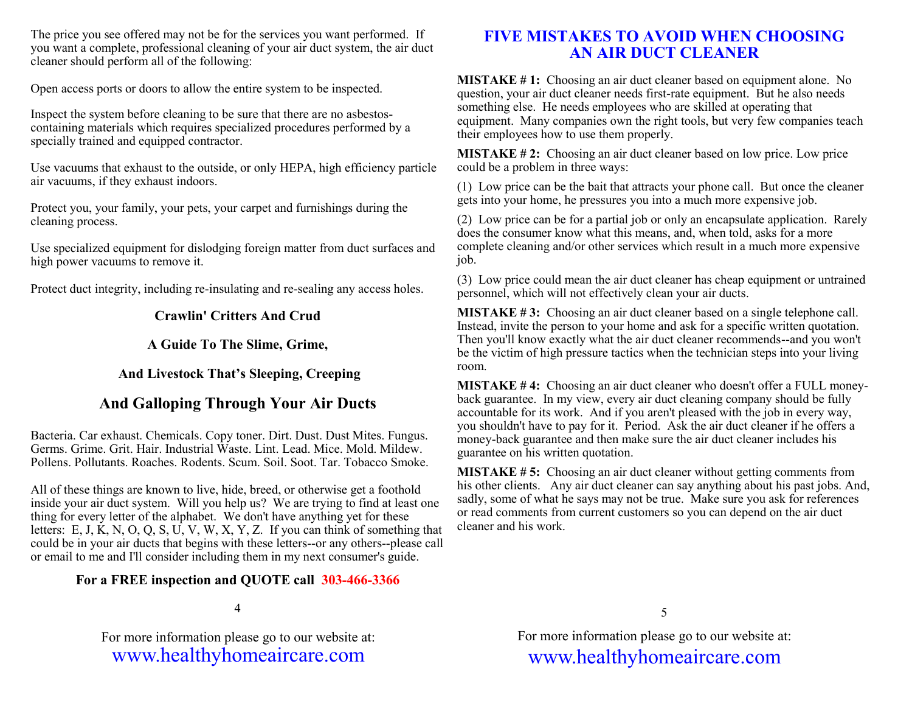The price you see offered may not be for the services you want performed. If you want a complete, professional cleaning of your air duct system, the air duct cleaner should perform all of the following:

Open access ports or doors to allow the entire system to be inspected.

Inspect the system before cleaning to be sure that there are no asbestoscontaining materials which requires specialized procedures performed by a specially trained and equipped contractor.

Use vacuums that exhaust to the outside, or only HEPA, high efficiency particle air vacuums, if they exhaust indoors.

Protect you, your family, your pets, your carpet and furnishings during the cleaning process.

Use specialized equipment for dislodging foreign matter from duct surfaces and high power vacuums to remove it.

Protect duct integrity, including re-insulating and re-sealing any access holes.

### **Crawlin' Critters And Crud**

**A Guide To The Slime, Grime,**

## **And Livestock That's Sleeping, Creeping**

# **And Galloping Through Your Air Ducts**

Bacteria. Car exhaust. Chemicals. Copy toner. Dirt. Dust. Dust Mites. Fungus. Germs. Grime. Grit. Hair. Industrial Waste. Lint. Lead. Mice. Mold. Mildew. Pollens. Pollutants. Roaches. Rodents. Scum. Soil. Soot. Tar. Tobacco Smoke.

All of these things are known to live, hide, breed, or otherwise get a foothold inside your air duct system. Will you help us? We are trying to find at least one thing for every letter of the alphabet. We don't have anything yet for these letters: E, J, K, N, O, Q, S, U, V, W, X, Y, Z. If you can think of something that could be in your air ducts that begins with these letters--or any others--please call or email to me and I'll consider including them in my next consumer's guide.

## **For a FREE inspection and QUOTE call 303-466-3366**

4

For more information please go to our website at: www.healthyhomeaircare.com

# **FIVE MISTAKES TO AVOID WHEN CHOOSING AN AIR DUCT CLEANER**

**MISTAKE # 1:** Choosing an air duct cleaner based on equipment alone. No question, your air duct cleaner needs first-rate equipment. But he also needs something else. He needs employees who are skilled at operating that equipment. Many companies own the right tools, but very few companies teach their employees how to use them properly.

**MISTAKE # 2:** Choosing an air duct cleaner based on low price. Low price could be a problem in three ways:

(1) Low price can be the bait that attracts your phone call. But once the cleaner gets into your home, he pressures you into a much more expensive job.

(2) Low price can be for a partial job or only an encapsulate application. Rarely does the consumer know what this means, and, when told, asks for a more complete cleaning and/or other services which result in a much more expensive job.

(3) Low price could mean the air duct cleaner has cheap equipment or untrained personnel, which will not effectively clean your air ducts.

**MISTAKE # 3:** Choosing an air duct cleaner based on a single telephone call. Instead, invite the person to your home and ask for a specific written quotation. Then you'll know exactly what the air duct cleaner recommends--and you won't be the victim of high pressure tactics when the technician steps into your living room.

**MISTAKE # 4:** Choosing an air duct cleaner who doesn't offer a FULL moneyback guarantee. In my view, every air duct cleaning company should be fully accountable for its work. And if you aren't pleased with the job in every way, you shouldn't have to pay for it. Period. Ask the air duct cleaner if he offers a money-back guarantee and then make sure the air duct cleaner includes his guarantee on his written quotation.

**MISTAKE # 5:** Choosing an air duct cleaner without getting comments from his other clients. Any air duct cleaner can say anything about his past jobs. And, sadly, some of what he says may not be true. Make sure you ask for references or read comments from current customers so you can depend on the air duct cleaner and his work.